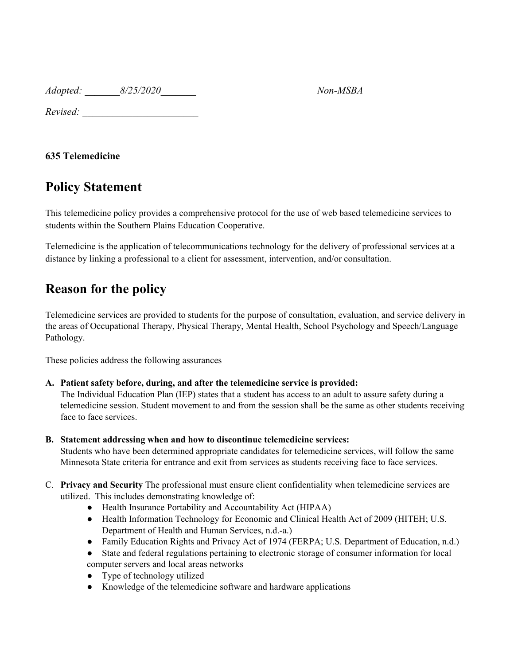*Adopted: \_\_\_\_\_\_\_8/25/2020\_\_\_\_\_\_\_ Non-MSBA*

*Revised: \_\_\_\_\_\_\_\_\_\_\_\_\_\_\_\_\_\_\_\_\_\_\_*

### **635 Telemedicine**

### **Policy Statement**

This telemedicine policy provides a comprehensive protocol for the use of web based telemedicine services to students within the Southern Plains Education Cooperative.

Telemedicine is the application of telecommunications technology for the delivery of professional services at a distance by linking a professional to a client for assessment, intervention, and/or consultation.

## **Reason for the policy**

Telemedicine services are provided to students for the purpose of consultation, evaluation, and service delivery in the areas of Occupational Therapy, Physical Therapy, Mental Health, School Psychology and Speech/Language Pathology.

These policies address the following assurances

#### **A. Patient safety before, during, and after the telemedicine service is provided:**

The Individual Education Plan (IEP) states that a student has access to an adult to assure safety during a telemedicine session. Student movement to and from the session shall be the same as other students receiving face to face services.

**B. Statement addressing when and how to discontinue telemedicine services:**

Students who have been determined appropriate candidates for telemedicine services, will follow the same Minnesota State criteria for entrance and exit from services as students receiving face to face services.

- C. **Privacy and Security** The professional must ensure client confidentiality when telemedicine services are utilized. This includes demonstrating knowledge of:
	- Health Insurance Portability and Accountability Act (HIPAA)
	- Health Information Technology for Economic and Clinical Health Act of 2009 (HITEH; U.S. Department of Health and Human Services, n.d.-a.)
	- Family Education Rights and Privacy Act of 1974 (FERPA; U.S. Department of Education, n.d.)
	- State and federal regulations pertaining to electronic storage of consumer information for local computer servers and local areas networks
	- Type of technology utilized
	- Knowledge of the telemedicine software and hardware applications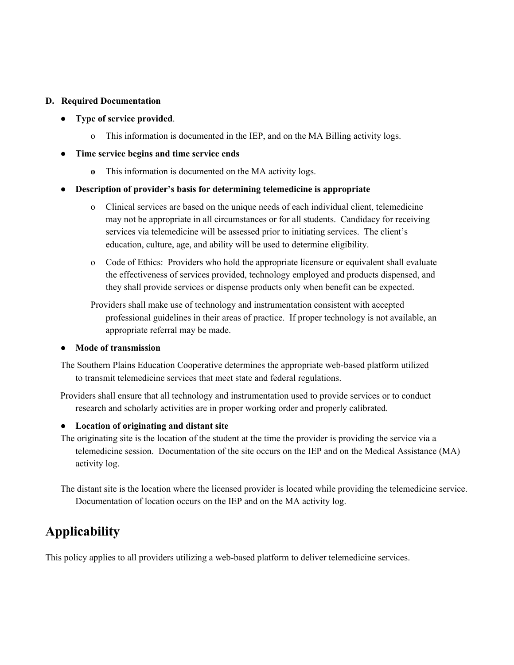#### **D. Required Documentation**

- **Type of service provided**.
	- o This information is documented in the IEP, and on the MA Billing activity logs.
- **● Time service begins and time service ends**
	- **o** This information is documented on the MA activity logs.

#### **● Description of provider's basis for determining telemedicine is appropriate**

- o Clinical services are based on the unique needs of each individual client, telemedicine may not be appropriate in all circumstances or for all students. Candidacy for receiving services via telemedicine will be assessed prior to initiating services. The client's education, culture, age, and ability will be used to determine eligibility.
- o Code of Ethics: Providers who hold the appropriate licensure or equivalent shall evaluate the effectiveness of services provided, technology employed and products dispensed, and they shall provide services or dispense products only when benefit can be expected.

Providers shall make use of technology and instrumentation consistent with accepted professional guidelines in their areas of practice. If proper technology is not available, an appropriate referral may be made.

#### **● Mode of transmission**

The Southern Plains Education Cooperative determines the appropriate web-based platform utilized to transmit telemedicine services that meet state and federal regulations.

Providers shall ensure that all technology and instrumentation used to provide services or to conduct research and scholarly activities are in proper working order and properly calibrated.

#### **● Location of originating and distant site**

The originating site is the location of the student at the time the provider is providing the service via a telemedicine session. Documentation of the site occurs on the IEP and on the Medical Assistance (MA) activity log.

The distant site is the location where the licensed provider is located while providing the telemedicine service. Documentation of location occurs on the IEP and on the MA activity log.

## **Applicability**

This policy applies to all providers utilizing a web-based platform to deliver telemedicine services.